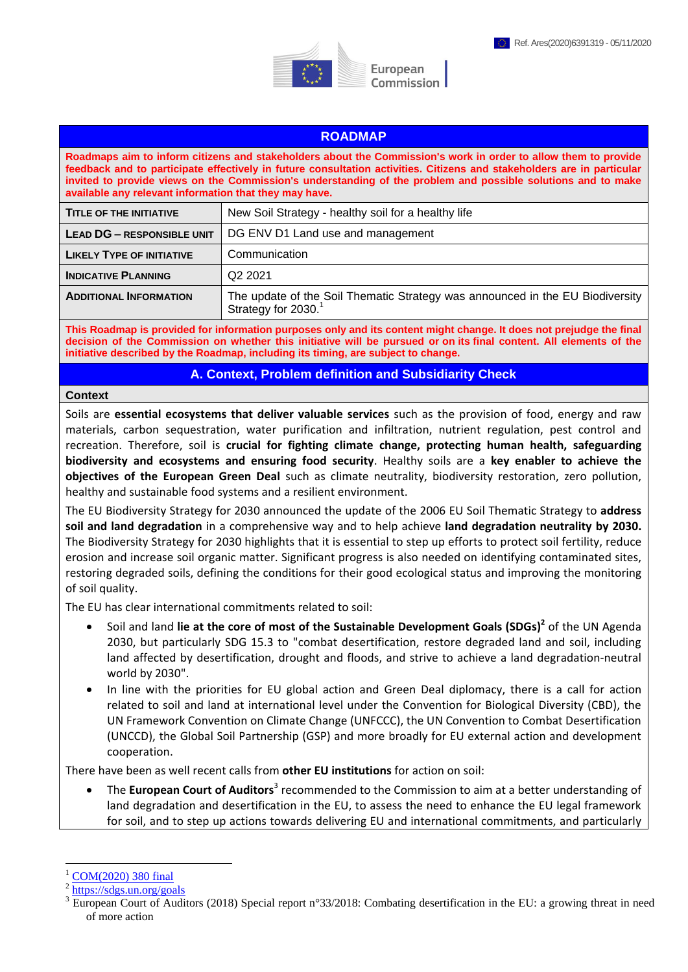



European Commission

# **ROADMAP**

**Roadmaps aim to inform citizens and stakeholders about the Commission's work in order to allow them to provide feedback and to participate effectively in future consultation activities. Citizens and stakeholders are in particular invited to provide views on the Commission's understanding of the problem and possible solutions and to make available any relevant information that they may have.** 

| <b>TITLE OF THE INITIATIVE</b>    | New Soil Strategy - healthy soil for a healthy life                                                              |
|-----------------------------------|------------------------------------------------------------------------------------------------------------------|
| <b>LEAD DG - RESPONSIBLE UNIT</b> | DG ENV D1 Land use and management                                                                                |
| <b>LIKELY TYPE OF INITIATIVE</b>  | Communication                                                                                                    |
| <b>INDICATIVE PLANNING</b>        | Q <sub>2</sub> 2021                                                                                              |
| <b>ADDITIONAL INFORMATION</b>     | The update of the Soil Thematic Strategy was announced in the EU Biodiversity<br>Strategy for 2030. <sup>1</sup> |

**This Roadmap is provided for information purposes only and its content might change. It does not prejudge the final decision of the Commission on whether this initiative will be pursued or on its final content. All elements of the initiative described by the Roadmap, including its timing, are subject to change.**

**A. Context, Problem definition and Subsidiarity Check**

#### **Context**

Soils are **essential ecosystems that deliver valuable services** such as the provision of food, energy and raw materials, carbon sequestration, water purification and infiltration, nutrient regulation, pest control and recreation. Therefore, soil is **crucial for fighting climate change, protecting human health, safeguarding biodiversity and ecosystems and ensuring food security**. Healthy soils are a **key enabler to achieve the objectives of the European Green Deal** such as climate neutrality, biodiversity restoration, zero pollution, healthy and sustainable food systems and a resilient environment.

The EU Biodiversity Strategy for 2030 announced the update of the 2006 EU Soil Thematic Strategy to **address soil and land degradation** in a comprehensive way and to help achieve **land degradation neutrality by 2030.**  The Biodiversity Strategy for 2030 highlights that it is essential to step up efforts to protect soil fertility, reduce erosion and increase soil organic matter. Significant progress is also needed on identifying contaminated sites, restoring degraded soils, defining the conditions for their good ecological status and improving the monitoring of soil quality.

The EU has clear international commitments related to soil:

- Soil and land lie at the core of most of the Sustainable Development Goals (SDGs)<sup>2</sup> of the UN Agenda 2030, but particularly SDG 15.3 to "combat desertification, restore degraded land and soil, including land affected by desertification, drought and floods, and strive to achieve a land degradation-neutral world by 2030".
- In line with the priorities for EU global action and Green Deal diplomacy, there is a call for action related to soil and land at international level under the Convention for Biological Diversity (CBD), the UN Framework Convention on Climate Change (UNFCCC), the UN Convention to Combat Desertification (UNCCD), the Global Soil Partnership (GSP) and more broadly for EU external action and development cooperation.

There have been as well recent calls from **other EU institutions** for action on soil:

**The European Court of Auditors**<sup>3</sup> recommended to the Commission to aim at a better understanding of land degradation and desertification in the EU, to assess the need to enhance the EU legal framework for soil, and to step up actions towards delivering EU and international commitments, and particularly

 $\overline{a}$ 

[COM\(2020\) 380 final](https://eur-lex.europa.eu/legal-content/EN/TXT/?qid=1590574123338&uri=CELEX%3A52020DC0380)

<sup>2</sup> <https://sdgs.un.org/goals>

<sup>&</sup>lt;sup>3</sup> European Court of Auditors (2018) Special report n°33/2018: Combating desertification in the EU: a growing threat in need of more action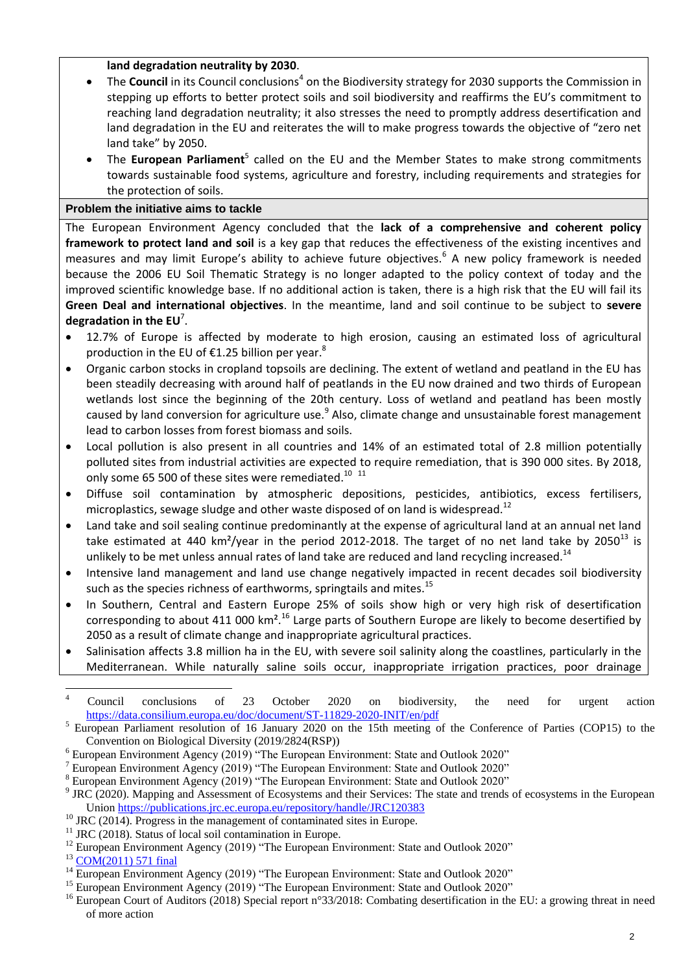### **land degradation neutrality by 2030**.

- The **Council** in its Council conclusions<sup>4</sup> on the Biodiversity strategy for 2030 supports the Commission in stepping up efforts to better protect soils and soil biodiversity and reaffirms the EU's commitment to reaching land degradation neutrality; it also stresses the need to promptly address desertification and land degradation in the EU and reiterates the will to make progress towards the objective of "zero net land take" by 2050.
- The European Parliament<sup>5</sup> called on the EU and the Member States to make strong commitments towards sustainable food systems, agriculture and forestry, including requirements and strategies for the protection of soils.

## **Problem the initiative aims to tackle**

The European Environment Agency concluded that the **lack of a comprehensive and coherent policy framework to protect land and soil** is a key gap that reduces the effectiveness of the existing incentives and measures and may limit Europe's ability to achieve future objectives.<sup>6</sup> A new policy framework is needed because the 2006 EU Soil Thematic Strategy is no longer adapted to the policy context of today and the improved scientific knowledge base. If no additional action is taken, there is a high risk that the EU will fail its **Green Deal and international objectives**. In the meantime, land and soil continue to be subject to **severe degradation in the EU**<sup>7</sup> .

- 12.7% of Europe is affected by moderate to high erosion, causing an estimated loss of agricultural production in the EU of  $E1.25$  billion per year.<sup>8</sup>
- Organic carbon stocks in cropland topsoils are declining. The extent of wetland and peatland in the EU has been steadily decreasing with around half of peatlands in the EU now drained and two thirds of European wetlands lost since the beginning of the 20th century. Loss of wetland and peatland has been mostly caused by land conversion for agriculture use.<sup>9</sup> Also, climate change and unsustainable forest management lead to carbon losses from forest biomass and soils.
- Local pollution is also present in all countries and 14% of an estimated total of 2.8 million potentially polluted sites from industrial activities are expected to require remediation, that is 390 000 sites. By 2018, only some 65 500 of these sites were remediated. $^{10-11}$
- Diffuse soil contamination by atmospheric depositions, pesticides, antibiotics, excess fertilisers, microplastics, sewage sludge and other waste disposed of on land is widespread.<sup>12</sup>
- Land take and soil sealing continue predominantly at the expense of agricultural land at an annual net land take estimated at 440 km<sup>2</sup>/year in the period 2012-2018. The target of no net land take by 2050<sup>13</sup> is unlikely to be met unless annual rates of land take are reduced and land recycling increased.<sup>14</sup>
- Intensive land management and land use change negatively impacted in recent decades soil biodiversity such as the species richness of earthworms, springtails and mites.<sup>15</sup>
- In Southern, Central and Eastern Europe 25% of soils show high or very high risk of desertification corresponding to about 411 000 km<sup>2</sup>.<sup>16</sup> Large parts of Southern Europe are likely to become desertified by 2050 as a result of climate change and inappropriate agricultural practices.
- Salinisation affects 3.8 million ha in the EU, with severe soil salinity along the coastlines, particularly in the Mediterranean. While naturally saline soils occur, inappropriate irrigation practices, poor drainage

 $\overline{4}$ <sup>4</sup> Council conclusions of 23 October 2020 on biodiversity, the need for urgent action <https://data.consilium.europa.eu/doc/document/ST-11829-2020-INIT/en/pdf>

<sup>5</sup> European Parliament resolution of 16 January 2020 on the 15th meeting of the Conference of Parties (COP15) to the Convention on Biological Diversity (2019/2824(RSP))

 $6$  European Environment Agency (2019) "The European Environment: State and Outlook 2020"

 $7$  European Environment Agency (2019) "The European Environment: State and Outlook 2020"

<sup>8</sup> European Environment Agency (2019) "The European Environment: State and Outlook 2020"

<sup>&</sup>lt;sup>9</sup> JRC (2020). Mapping and Assessment of Ecosystems and their Services: The state and trends of ecosystems in the European Union <https://publications.jrc.ec.europa.eu/repository/handle/JRC120383>

<sup>&</sup>lt;sup>10</sup> JRC (2014). Progress in the management of contaminated sites in Europe.

 $11$  JRC (2018). Status of local soil contamination in Europe.

<sup>&</sup>lt;sup>12</sup> European Environment Agency (2019) "The European Environment: State and Outlook 2020"

<sup>&</sup>lt;sup>13</sup> [COM\(2011\) 571 final](https://eur-lex.europa.eu/legal-content/EN/TXT/?uri=CELEX%3A52011DC0571)

 $14$  European Environment Agency (2019) "The European Environment: State and Outlook 2020"

<sup>&</sup>lt;sup>15</sup> European Environment Agency (2019) "The European Environment: State and Outlook 2020"

<sup>&</sup>lt;sup>16</sup> European Court of Auditors (2018) Special report n°33/2018: Combating desertification in the EU: a growing threat in need of more action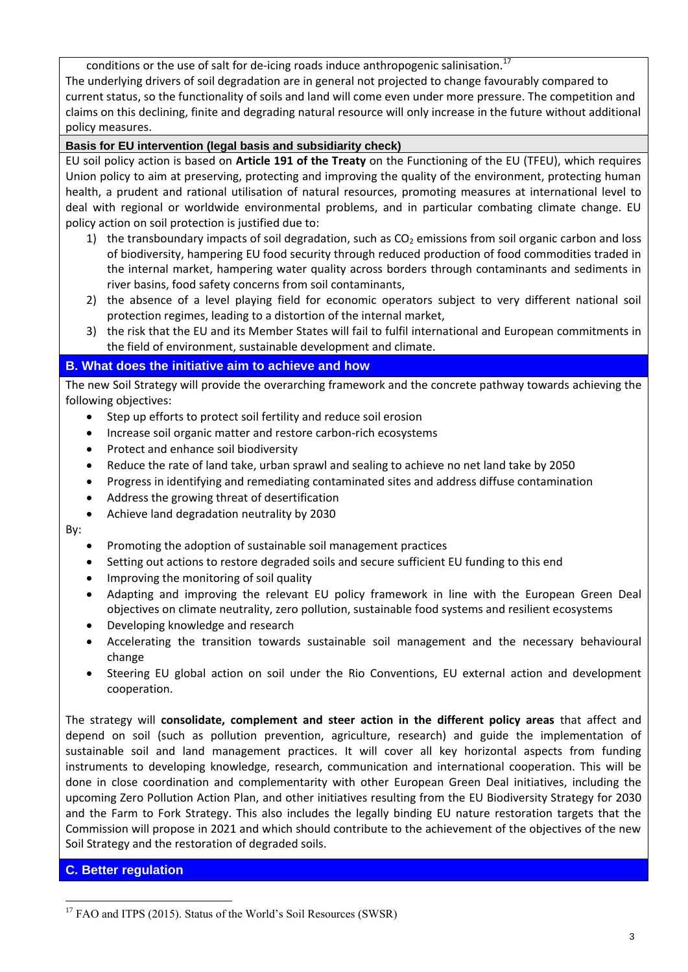conditions or the use of salt for de-icing roads induce anthropogenic salinisation.<sup>17</sup> The underlying drivers of soil degradation are in general not projected to change favourably compared to current status, so the functionality of soils and land will come even under more pressure. The competition and claims on this declining, finite and degrading natural resource will only increase in the future without additional policy measures.

### **Basis for EU intervention (legal basis and subsidiarity check)**

EU soil policy action is based on **Article 191 of the Treaty** on the Functioning of the EU (TFEU), which requires Union policy to aim at preserving, protecting and improving the quality of the environment, protecting human health, a prudent and rational utilisation of natural resources, promoting measures at international level to deal with regional or worldwide environmental problems, and in particular combating climate change. EU policy action on soil protection is justified due to:

- 1) the transboundary impacts of soil degradation, such as  $CO<sub>2</sub>$  emissions from soil organic carbon and loss of biodiversity, hampering EU food security through reduced production of food commodities traded in the internal market, hampering water quality across borders through contaminants and sediments in river basins, food safety concerns from soil contaminants,
- 2) the absence of a level playing field for economic operators subject to very different national soil protection regimes, leading to a distortion of the internal market,
- 3) the risk that the EU and its Member States will fail to fulfil international and European commitments in the field of environment, sustainable development and climate.

## **B. What does the initiative aim to achieve and how**

The new Soil Strategy will provide the overarching framework and the concrete pathway towards achieving the following objectives:

- Step up efforts to protect soil fertility and reduce soil erosion
- Increase soil organic matter and restore carbon-rich ecosystems
- Protect and enhance soil biodiversity
- Reduce the rate of land take, urban sprawl and sealing to achieve no net land take by 2050
- Progress in identifying and remediating contaminated sites and address diffuse contamination
- Address the growing threat of desertification
- Achieve land degradation neutrality by 2030

By:

- Promoting the adoption of sustainable soil management practices
- Setting out actions to restore degraded soils and secure sufficient EU funding to this end
- Improving the monitoring of soil quality
- Adapting and improving the relevant EU policy framework in line with the European Green Deal objectives on climate neutrality, zero pollution, sustainable food systems and resilient ecosystems
- Developing knowledge and research
- Accelerating the transition towards sustainable soil management and the necessary behavioural change
- Steering EU global action on soil under the Rio Conventions, EU external action and development cooperation.

The strategy will **consolidate, complement and steer action in the different policy areas** that affect and depend on soil (such as pollution prevention, agriculture, research) and guide the implementation of sustainable soil and land management practices. It will cover all key horizontal aspects from funding instruments to developing knowledge, research, communication and international cooperation. This will be done in close coordination and complementarity with other European Green Deal initiatives, including the upcoming Zero Pollution Action Plan, and other initiatives resulting from the EU Biodiversity Strategy for 2030 and the Farm to Fork Strategy. This also includes the legally binding EU nature restoration targets that the Commission will propose in 2021 and which should contribute to the achievement of the objectives of the new Soil Strategy and the restoration of degraded soils.

## **C. Better regulation**

 $\overline{a}$ 

<sup>&</sup>lt;sup>17</sup> FAO and ITPS (2015). Status of the World's Soil Resources (SWSR)